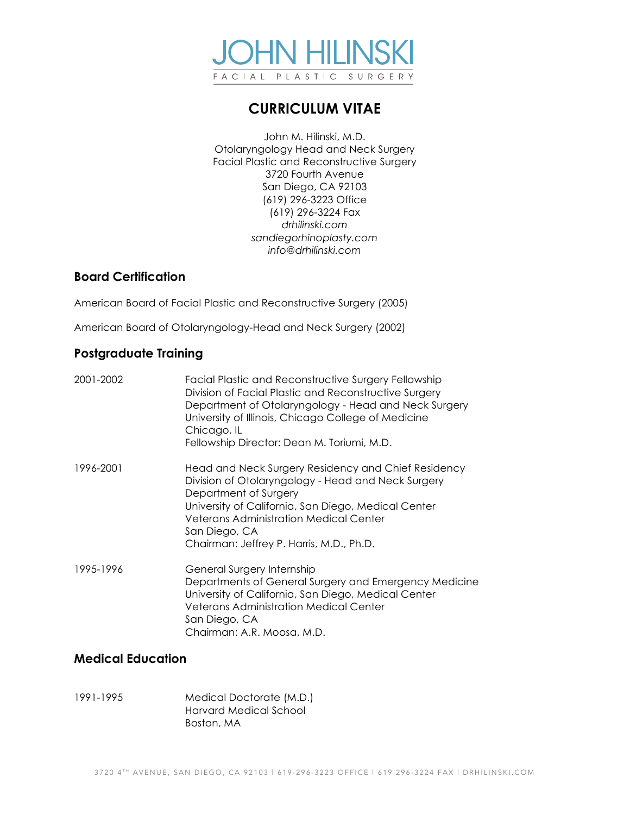

# **CURRICULUM VITAE**

John M. Hilinski, M.D. Otolaryngology Head and Neck Surgery Facial Plastic and Reconstructive Surgery 3720 Fourth Avenue San Diego, CA 92103 (619) 296-3223 Office (619) 296-3224 Fax *drhilinski.com sandiegorhinoplasty.com info@drhilinski.com*

# **Board Certification**

American Board of Facial Plastic and Reconstructive Surgery (2005)

American Board of Otolaryngology-Head and Neck Surgery (2002)

# **Postgraduate Training**

| 2001-2002 | Facial Plastic and Reconstructive Surgery Fellowship<br>Division of Facial Plastic and Reconstructive Surgery<br>Department of Otolaryngology - Head and Neck Surgery<br>University of Illinois, Chicago College of Medicine<br>Chicago, IL<br>Fellowship Director: Dean M. Toriumi, M.D.               |
|-----------|---------------------------------------------------------------------------------------------------------------------------------------------------------------------------------------------------------------------------------------------------------------------------------------------------------|
| 1996-2001 | Head and Neck Surgery Residency and Chief Residency<br>Division of Otolaryngology - Head and Neck Surgery<br>Department of Surgery<br>University of California, San Diego, Medical Center<br><b>Veterans Administration Medical Center</b><br>San Diego, CA<br>Chairman: Jeffrey P. Harris, M.D., Ph.D. |
| 1995-1996 | General Surgery Internship<br>Departments of General Surgery and Emergency Medicine<br>University of California, San Diego, Medical Center<br><b>Veterans Administration Medical Center</b><br>San Diego, CA<br>Chairman: A.R. Moosa, M.D.                                                              |

# **Medical Education**

1991-1995 Medical Doctorate (M.D.) Harvard Medical School Boston, MA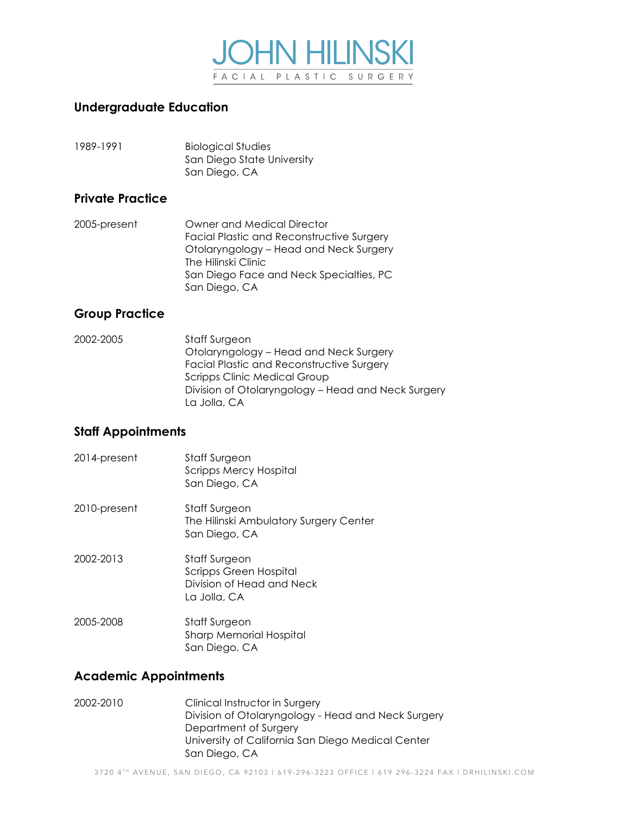

# **Undergraduate Education**

| 1989-1991 | <b>Biological Studies</b>  |
|-----------|----------------------------|
|           | San Diego State University |
|           | San Diego, CA              |

#### **Private Practice**

2005-present Owner and Medical Director Facial Plastic and Reconstructive Surgery Otolaryngology – Head and Neck Surgery The Hilinski Clinic San Diego Face and Neck Specialties, PC San Diego, CA

# **Group Practice**

2002-2005 Staff Surgeon Otolaryngology – Head and Neck Surgery Facial Plastic and Reconstructive Surgery Scripps Clinic Medical Group Division of Otolaryngology – Head and Neck Surgery La Jolla, CA

# **Staff Appointments**

2014-present Staff Surgeon Scripps Mercy Hospital San Diego, CA 2010-present Staff Surgeon The Hilinski Ambulatory Surgery Center San Diego, CA 2002-2013 Staff Surgeon Scripps Green Hospital Division of Head and Neck La Jolla, CA 2005-2008 Staff Surgeon Sharp Memorial Hospital San Diego, CA

# **Academic Appointments**

2002-2010 Clinical Instructor in Surgery Division of Otolaryngology - Head and Neck Surgery Department of Surgery University of California San Diego Medical Center San Diego, CA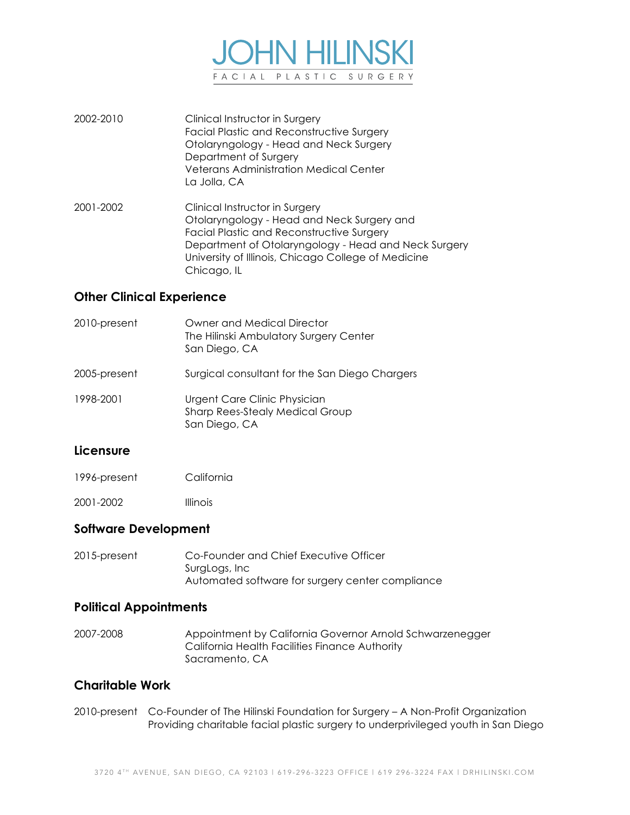

- 2002-2010 Clinical Instructor in Surgery Facial Plastic and Reconstructive Surgery Otolaryngology - Head and Neck Surgery Department of Surgery Veterans Administration Medical Center La Jolla, CA
- 2001-2002 Clinical Instructor in Surgery Otolaryngology - Head and Neck Surgery and Facial Plastic and Reconstructive Surgery Department of Otolaryngology - Head and Neck Surgery University of Illinois, Chicago College of Medicine Chicago, IL

## **Other Clinical Experience**

2010-present Owner and Medical Director The Hilinski Ambulatory Surgery Center San Diego, CA 2005-present Surgical consultant for the San Diego Chargers 1998-2001 Urgent Care Clinic Physician Sharp Rees-Stealy Medical Group San Diego, CA

#### **Licensure**

- 1996-present California
- 2001-2002 Illinois

#### **Software Development**

2015-present Co-Founder and Chief Executive Officer SurgLogs, Inc Automated software for surgery center compliance

#### **Political Appointments**

2007-2008 Appointment by California Governor Arnold Schwarzenegger California Health Facilities Finance Authority Sacramento, CA

#### **Charitable Work**

2010-present Co-Founder of The Hilinski Foundation for Surgery – A Non-Profit Organization Providing charitable facial plastic surgery to underprivileged youth in San Diego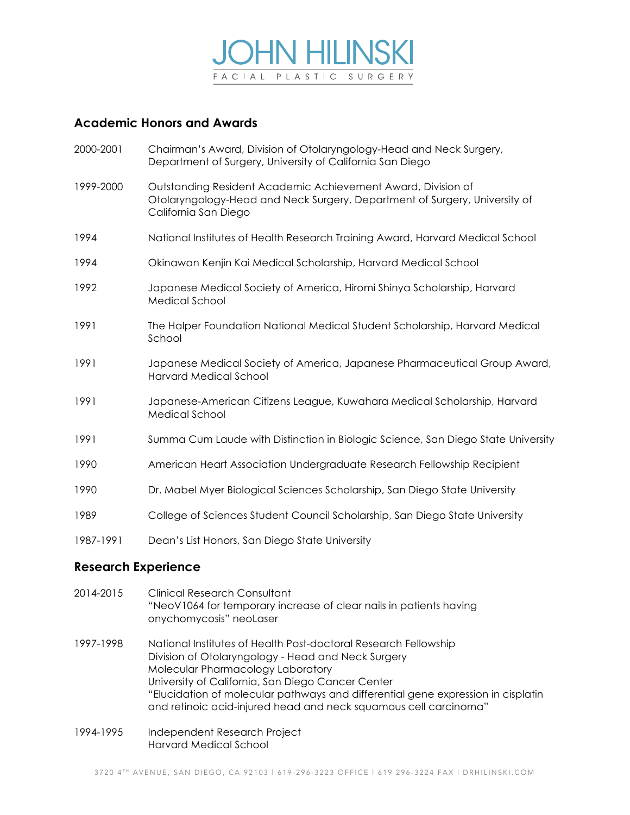

# **Academic Honors and Awards**

- 2000-2001 Chairman's Award, Division of Otolaryngology-Head and Neck Surgery, Department of Surgery, University of California San Diego
- 1999-2000 Outstanding Resident Academic Achievement Award, Division of Otolaryngology-Head and Neck Surgery, Department of Surgery, University of California San Diego
- 1994 National Institutes of Health Research Training Award, Harvard Medical School
- 1994 Okinawan Kenjin Kai Medical Scholarship, Harvard Medical School
- 1992 Japanese Medical Society of America, Hiromi Shinya Scholarship, Harvard Medical School
- 1991 The Halper Foundation National Medical Student Scholarship, Harvard Medical School
- 1991 Japanese Medical Society of America, Japanese Pharmaceutical Group Award, Harvard Medical School
- 1991 Japanese-American Citizens League, Kuwahara Medical Scholarship, Harvard Medical School
- 1991 Summa Cum Laude with Distinction in Biologic Science, San Diego State University
- 1990 American Heart Association Undergraduate Research Fellowship Recipient
- 1990 Dr. Mabel Myer Biological Sciences Scholarship, San Diego State University
- 1989 College of Sciences Student Council Scholarship, San Diego State University
- 1987-1991 Dean's List Honors, San Diego State University

## **Research Experience**

- 2014-2015 Clinical Research Consultant "NeoV1064 for temporary increase of clear nails in patients having onychomycosis" neoLaser
- 1997-1998 National Institutes of Health Post-doctoral Research Fellowship Division of Otolaryngology - Head and Neck Surgery Molecular Pharmacology Laboratory University of California, San Diego Cancer Center "Elucidation of molecular pathways and differential gene expression in cisplatin and retinoic acid-injured head and neck squamous cell carcinoma"
- 1994-1995 Independent Research Project Harvard Medical School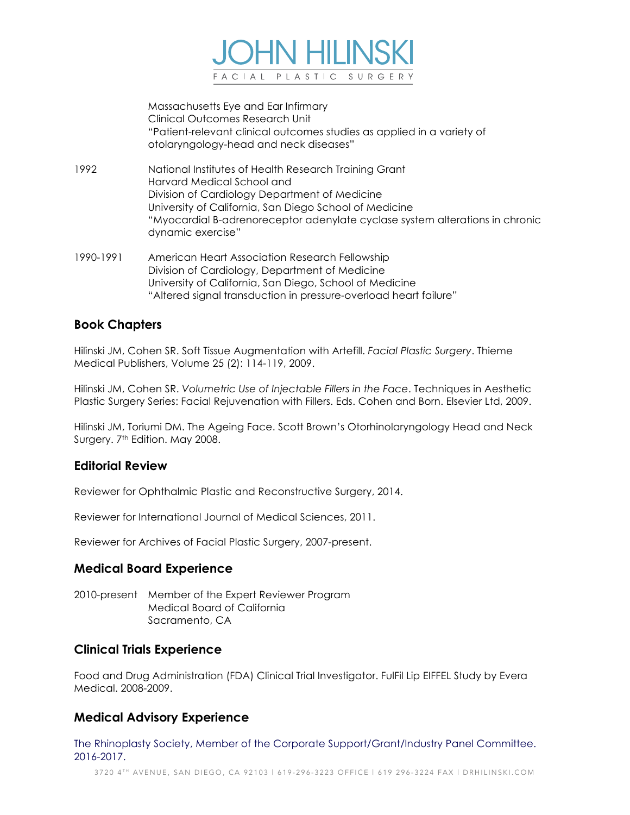

Massachusetts Eye and Ear Infirmary Clinical Outcomes Research Unit "Patient-relevant clinical outcomes studies as applied in a variety of otolaryngology-head and neck diseases"

- 1992 National Institutes of Health Research Training Grant Harvard Medical School and Division of Cardiology Department of Medicine University of California, San Diego School of Medicine "Myocardial B-adrenoreceptor adenylate cyclase system alterations in chronic dynamic exercise"
- 1990-1991 American Heart Association Research Fellowship Division of Cardiology, Department of Medicine University of California, San Diego, School of Medicine "Altered signal transduction in pressure-overload heart failure"

# **Book Chapters**

Hilinski JM, Cohen SR. Soft Tissue Augmentation with Artefill. *Facial Plastic Surgery*. Thieme Medical Publishers, Volume 25 (2): 114-119, 2009.

Hilinski JM, Cohen SR. *Volumetric Use of Injectable Fillers in the Face*. Techniques in Aesthetic Plastic Surgery Series: Facial Rejuvenation with Fillers. Eds. Cohen and Born. Elsevier Ltd, 2009.

Hilinski JM, Toriumi DM. The Ageing Face. Scott Brown's Otorhinolaryngology Head and Neck Surgery. 7<sup>th</sup> Edition. May 2008.

#### **Editorial Review**

Reviewer for Ophthalmic Plastic and Reconstructive Surgery, 2014.

Reviewer for International Journal of Medical Sciences, 2011.

Reviewer for Archives of Facial Plastic Surgery, 2007-present.

#### **Medical Board Experience**

2010-present Member of the Expert Reviewer Program Medical Board of California Sacramento, CA

#### **Clinical Trials Experience**

Food and Drug Administration (FDA) Clinical Trial Investigator. FulFil Lip EIFFEL Study by Evera Medical. 2008-2009.

# **Medical Advisory Experience**

The Rhinoplasty Society, Member of the Corporate Support/Grant/Industry Panel Committee. 2016-2017.

3720 4TH AVENUE, SAN DIEGO, CA 92103 | 619-296-3223 OFFICE | 619 296-3224 FAX | DRHILINSKI.COM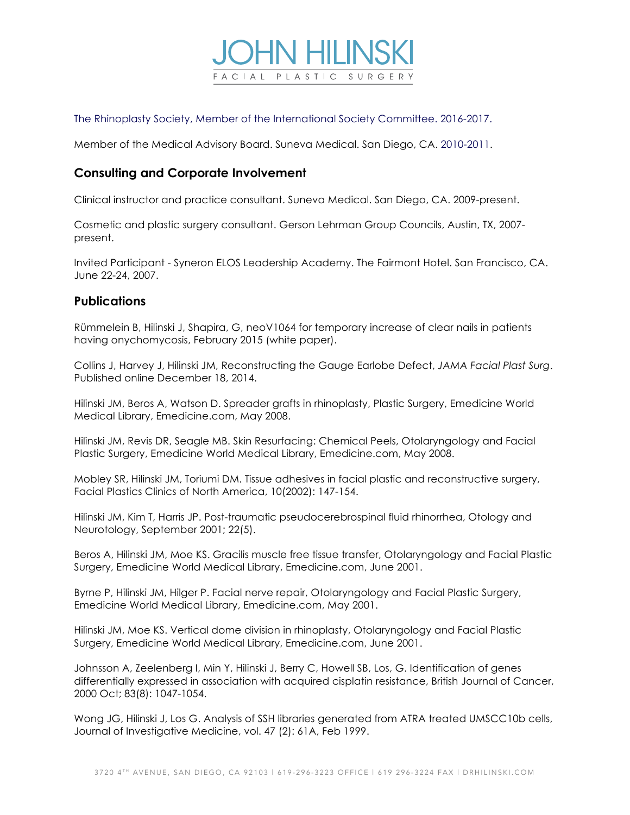

The Rhinoplasty Society, Member of the International Society Committee. 2016-2017.

Member of the Medical Advisory Board. Suneva Medical. San Diego, CA. 2010-2011.

# **Consulting and Corporate Involvement**

Clinical instructor and practice consultant. Suneva Medical. San Diego, CA. 2009-present.

Cosmetic and plastic surgery consultant. Gerson Lehrman Group Councils, Austin, TX, 2007 present.

Invited Participant - Syneron ELOS Leadership Academy. The Fairmont Hotel. San Francisco, CA. June 22-24, 2007.

#### **Publications**

Rümmelein B, Hilinski J, Shapira, G, neoV1064 for temporary increase of clear nails in patients having onychomycosis, February 2015 (white paper).

Collins J, Harvey J, Hilinski JM, Reconstructing the Gauge Earlobe Defect, *JAMA Facial Plast Surg*. Published online December 18, 2014.

Hilinski JM, Beros A, Watson D. Spreader grafts in rhinoplasty, Plastic Surgery, Emedicine World Medical Library, Emedicine.com, May 2008.

Hilinski JM, Revis DR, Seagle MB. Skin Resurfacing: Chemical Peels, Otolaryngology and Facial Plastic Surgery, Emedicine World Medical Library, Emedicine.com, May 2008.

Mobley SR, Hilinski JM, Toriumi DM. Tissue adhesives in facial plastic and reconstructive surgery, Facial Plastics Clinics of North America, 10(2002): 147-154.

Hilinski JM, Kim T, Harris JP. Post-traumatic pseudocerebrospinal fluid rhinorrhea, Otology and Neurotology, September 2001; 22(5).

Beros A, Hilinski JM, Moe KS. Gracilis muscle free tissue transfer, Otolaryngology and Facial Plastic Surgery, Emedicine World Medical Library, Emedicine.com, June 2001.

Byrne P, Hilinski JM, Hilger P. Facial nerve repair, Otolaryngology and Facial Plastic Surgery, Emedicine World Medical Library, Emedicine.com, May 2001.

Hilinski JM, Moe KS. Vertical dome division in rhinoplasty, Otolaryngology and Facial Plastic Surgery, Emedicine World Medical Library, Emedicine.com, June 2001.

Johnsson A, Zeelenberg I, Min Y, Hilinski J, Berry C, Howell SB, Los, G. Identification of genes differentially expressed in association with acquired cisplatin resistance, British Journal of Cancer, 2000 Oct; 83(8): 1047-1054.

Wong JG, Hilinski J, Los G. Analysis of SSH libraries generated from ATRA treated UMSCC10b cells, Journal of Investigative Medicine, vol. 47 (2): 61A, Feb 1999.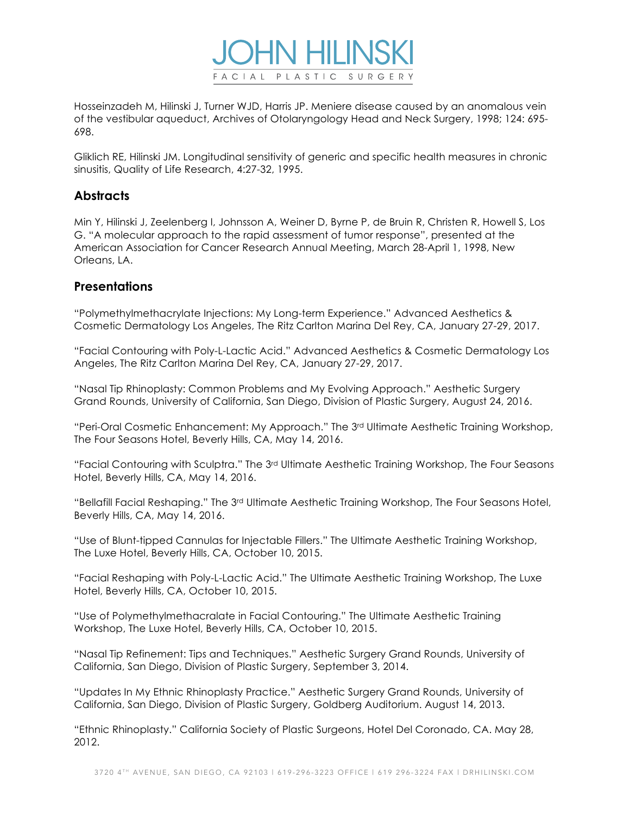

Hosseinzadeh M, Hilinski J, Turner WJD, Harris JP. Meniere disease caused by an anomalous vein of the vestibular aqueduct, Archives of Otolaryngology Head and Neck Surgery, 1998; 124: 695- 698.

Gliklich RE, Hilinski JM. Longitudinal sensitivity of generic and specific health measures in chronic sinusitis, Quality of Life Research, 4:27-32, 1995.

# **Abstracts**

Min Y, Hilinski J, Zeelenberg I, Johnsson A, Weiner D, Byrne P, de Bruin R, Christen R, Howell S, Los G. "A molecular approach to the rapid assessment of tumor response", presented at the American Association for Cancer Research Annual Meeting, March 28-April 1, 1998, New Orleans, LA.

## **Presentations**

"Polymethylmethacrylate Injections: My Long-term Experience." Advanced Aesthetics & Cosmetic Dermatology Los Angeles, The Ritz Carlton Marina Del Rey, CA, January 27-29, 2017.

"Facial Contouring with Poly-L-Lactic Acid." Advanced Aesthetics & Cosmetic Dermatology Los Angeles, The Ritz Carlton Marina Del Rey, CA, January 27-29, 2017.

"Nasal Tip Rhinoplasty: Common Problems and My Evolving Approach." Aesthetic Surgery Grand Rounds, University of California, San Diego, Division of Plastic Surgery, August 24, 2016.

"Peri-Oral Cosmetic Enhancement: My Approach." The 3<sup>rd</sup> Ultimate Aesthetic Training Workshop, The Four Seasons Hotel, Beverly Hills, CA, May 14, 2016.

"Facial Contouring with Sculptra." The 3rd Ultimate Aesthetic Training Workshop, The Four Seasons Hotel, Beverly Hills, CA, May 14, 2016.

"Bellafill Facial Reshaping." The 3rd Ultimate Aesthetic Training Workshop, The Four Seasons Hotel, Beverly Hills, CA, May 14, 2016.

"Use of Blunt-tipped Cannulas for Injectable Fillers." The Ultimate Aesthetic Training Workshop, The Luxe Hotel, Beverly Hills, CA, October 10, 2015.

"Facial Reshaping with Poly-L-Lactic Acid." The Ultimate Aesthetic Training Workshop, The Luxe Hotel, Beverly Hills, CA, October 10, 2015.

"Use of Polymethylmethacralate in Facial Contouring." The Ultimate Aesthetic Training Workshop, The Luxe Hotel, Beverly Hills, CA, October 10, 2015.

"Nasal Tip Refinement: Tips and Techniques." Aesthetic Surgery Grand Rounds, University of California, San Diego, Division of Plastic Surgery, September 3, 2014.

"Updates In My Ethnic Rhinoplasty Practice." Aesthetic Surgery Grand Rounds, University of California, San Diego, Division of Plastic Surgery, Goldberg Auditorium. August 14, 2013.

"Ethnic Rhinoplasty." California Society of Plastic Surgeons, Hotel Del Coronado, CA. May 28, 2012.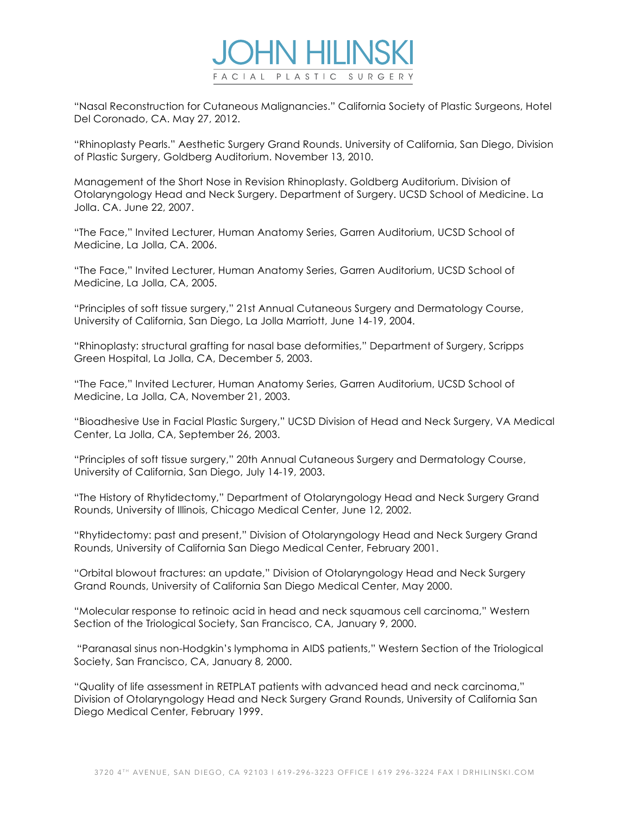

"Nasal Reconstruction for Cutaneous Malignancies." California Society of Plastic Surgeons, Hotel Del Coronado, CA. May 27, 2012.

"Rhinoplasty Pearls." Aesthetic Surgery Grand Rounds. University of California, San Diego, Division of Plastic Surgery, Goldberg Auditorium. November 13, 2010.

Management of the Short Nose in Revision Rhinoplasty. Goldberg Auditorium. Division of Otolaryngology Head and Neck Surgery. Department of Surgery. UCSD School of Medicine. La Jolla. CA. June 22, 2007.

"The Face," Invited Lecturer, Human Anatomy Series, Garren Auditorium, UCSD School of Medicine, La Jolla, CA. 2006.

"The Face," Invited Lecturer, Human Anatomy Series, Garren Auditorium, UCSD School of Medicine, La Jolla, CA, 2005.

"Principles of soft tissue surgery," 21st Annual Cutaneous Surgery and Dermatology Course, University of California, San Diego, La Jolla Marriott, June 14-19, 2004.

"Rhinoplasty: structural grafting for nasal base deformities," Department of Surgery, Scripps Green Hospital, La Jolla, CA, December 5, 2003.

"The Face," Invited Lecturer, Human Anatomy Series, Garren Auditorium, UCSD School of Medicine, La Jolla, CA, November 21, 2003.

"Bioadhesive Use in Facial Plastic Surgery," UCSD Division of Head and Neck Surgery, VA Medical Center, La Jolla, CA, September 26, 2003.

"Principles of soft tissue surgery," 20th Annual Cutaneous Surgery and Dermatology Course, University of California, San Diego, July 14-19, 2003.

"The History of Rhytidectomy," Department of Otolaryngology Head and Neck Surgery Grand Rounds, University of Illinois, Chicago Medical Center, June 12, 2002.

"Rhytidectomy: past and present," Division of Otolaryngology Head and Neck Surgery Grand Rounds, University of California San Diego Medical Center, February 2001.

"Orbital blowout fractures: an update," Division of Otolaryngology Head and Neck Surgery Grand Rounds, University of California San Diego Medical Center, May 2000.

"Molecular response to retinoic acid in head and neck squamous cell carcinoma," Western Section of the Triological Society, San Francisco, CA, January 9, 2000.

"Paranasal sinus non-Hodgkin's lymphoma in AIDS patients," Western Section of the Triological Society, San Francisco, CA, January 8, 2000.

"Quality of life assessment in RETPLAT patients with advanced head and neck carcinoma," Division of Otolaryngology Head and Neck Surgery Grand Rounds, University of California San Diego Medical Center, February 1999.